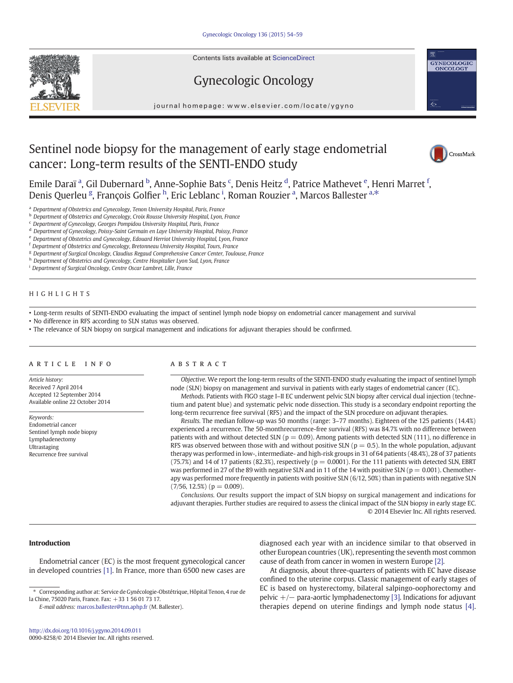Contents lists available at ScienceDirect





journal homepage:<www.elsevier.com/locate/ygyno>

# Sentinel node biopsy for the management of early stage endometrial cancer: Long-term results of the SENTI-ENDO study



GYNECOLOGIC<br>ONCOLOGY

€

Emile Daraï ª, Gil Dubernard <sup>b</sup>, Anne-Sophie Bats <sup>c</sup>, Denis Heitz <sup>d</sup>, Patrice Mathevet <sup>e</sup>, Henri Marret <sup>f</sup>, Denis Querleu <sup>g</sup>, François Golfier <sup>h</sup>, Eric Leblanc <sup>i</sup>, Roman Rouzier <sup>a</sup>, Marcos Ballester <sup>a,\*</sup>

a Department of Obstetrics and Gynecology, Tenon University Hospital, Paris, France

b Department of Obstetrics and Gynecology, Croix Rousse University Hospital, Lyon, France

<sup>c</sup> Department of Gynecology, Georges Pompidou University Hospital, Paris, France

<sup>d</sup> Department of Gynecology, Poissy-Saint Germain en Laye University Hospital, Poissy, France

<sup>e</sup> Department of Obstetrics and Gynecology, Edouard Herriot University Hospital, Lyon, France

<sup>f</sup> Department of Obstetrics and Gynecology, Bretonneau University Hospital, Tours, France

<sup>g</sup> Department of Surgical Oncology, Claudius Regaud Comprehensive Cancer Center, Toulouse, France

h Department of Obstetrics and Gynecology, Centre Hospitalier Lyon Sud, Lyon, France

<sup>i</sup> Department of Surgical Oncology, Centre Oscar Lambret, Lille, France

# HIGHLIGHTS

• Long-term results of SENTI-ENDO evaluating the impact of sentinel lymph node biopsy on endometrial cancer management and survival

• No difference in RFS according to SLN status was observed.

• The relevance of SLN biopsy on surgical management and indications for adjuvant therapies should be confirmed.

## article info abstract

Article history: Received 7 April 2014 Accepted 12 September 2014 Available online 22 October 2014

Keywords: Endometrial cancer Sentinel lymph node biopsy Lymphadenectomy Ultrastaging Recurrence free survival

Objective. We report the long-term results of the SENTI-ENDO study evaluating the impact of sentinel lymph node (SLN) biopsy on management and survival in patients with early stages of endometrial cancer (EC).

Methods. Patients with FIGO stage I–II EC underwent pelvic SLN biopsy after cervical dual injection (technetium and patent blue) and systematic pelvic node dissection. This study is a secondary endpoint reporting the long-term recurrence free survival (RFS) and the impact of the SLN procedure on adjuvant therapies.

Results. The median follow-up was 50 months (range: 3–77 months). Eighteen of the 125 patients (14.4%) experienced a recurrence. The 50-monthrecurrence-free survival (RFS) was 84.7% with no difference between patients with and without detected SLN ( $p = 0.09$ ). Among patients with detected SLN (111), no difference in RFS was observed between those with and without positive SLN ( $p = 0.5$ ). In the whole population, adjuvant therapy was performed in low-, intermediate- and high-risk groups in 31 of 64 patients (48.4%), 28 of 37 patients (75.7%) and 14 of 17 patients (82.3%), respectively ( $p = 0.0001$ ). For the 111 patients with detected SLN, EBRT was performed in 27 of the 89 with negative SLN and in 11 of the 14 with positive SLN ( $p = 0.001$ ). Chemotherapy was performed more frequently in patients with positive SLN (6/12, 50%) than in patients with negative SLN  $(7/56, 12.5%) (p = 0.009).$ 

Conclusions. Our results support the impact of SLN biopsy on surgical management and indications for adjuvant therapies. Further studies are required to assess the clinical impact of the SLN biopsy in early stage EC. © 2014 Elsevier Inc. All rights reserved.

# Introduction

Endometrial cancer (EC) is the most frequent gynecological cancer in developed countries [\[1\]](#page-5-0). In France, more than 6500 new cases are

E-mail address: [marcos.ballester@tnn.aphp.fr](mailto:marcos.ballester@tnn.aphp.fr) (M. Ballester).

diagnosed each year with an incidence similar to that observed in other European countries (UK), representing the seventh most common cause of death from cancer in women in western Europe [\[2\].](#page-5-0)

At diagnosis, about three-quarters of patients with EC have disease confined to the uterine corpus. Classic management of early stages of EC is based on hysterectomy, bilateral salpingo-oophorectomy and pelvic  $+/-$  para-aortic lymphadenectomy [\[3\]](#page-5-0). Indications for adjuvant therapies depend on uterine findings and lymph node status [\[4\].](#page-5-0)

<sup>⁎</sup> Corresponding author at: Service de Gynécologie-Obstétrique, Hôpital Tenon, 4 rue de la Chine, 75020 Paris, France. Fax: +33 1 56 01 73 17.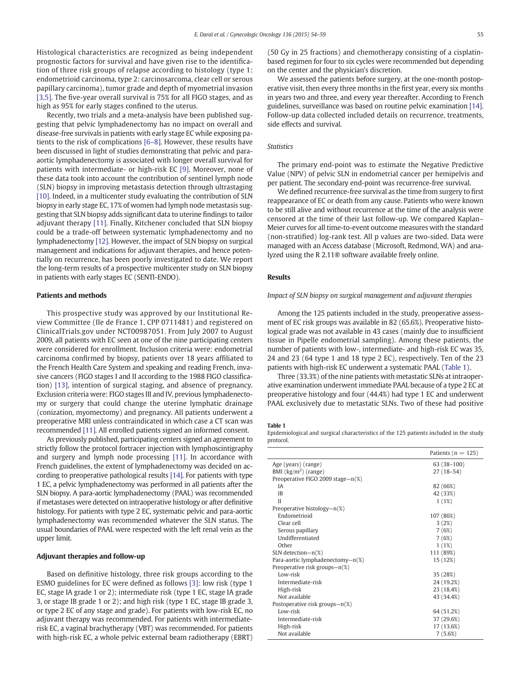Histological characteristics are recognized as being independent prognostic factors for survival and have given rise to the identification of three risk groups of relapse according to histology (type 1: endometrioid carcinoma, type 2: carcinosarcoma, clear cell or serous papillary carcinoma), tumor grade and depth of myometrial invasion [\[3,5\].](#page-5-0) The five-year overall survival is 75% for all FIGO stages, and as high as 95% for early stages confined to the uterus.

Recently, two trials and a meta-analysis have been published suggesting that pelvic lymphadenectomy has no impact on overall and disease-free survivals in patients with early stage EC while exposing patients to the risk of complications [6–[8\].](#page-5-0) However, these results have been discussed in light of studies demonstrating that pelvic and paraaortic lymphadenectomy is associated with longer overall survival for patients with intermediate- or high-risk EC [\[9\]](#page-5-0). Moreover, none of these data took into account the contribution of sentinel lymph node (SLN) biopsy in improving metastasis detection through ultrastaging [\[10\]](#page-5-0). Indeed, in a multicenter study evaluating the contribution of SLN biopsy in early stage EC, 17% of women had lymph node metastasis suggesting that SLN biopsy adds significant data to uterine findings to tailor adjuvant therapy [\[11\].](#page-5-0) Finally, Kitchener concluded that SLN biopsy could be a trade-off between systematic lymphadenectomy and no lymphadenectomy [\[12\]](#page-5-0). However, the impact of SLN biopsy on surgical management and indications for adjuvant therapies, and hence potentially on recurrence, has been poorly investigated to date. We report the long-term results of a prospective multicenter study on SLN biopsy in patients with early stages EC (SENTI-ENDO).

#### Patients and methods

This prospective study was approved by our Institutional Review Committee (Ile de France 1, CPP 0711481) and registered on ClinicalTrials.gov under NCT00987051. From July 2007 to August 2009, all patients with EC seen at one of the nine participating centers were considered for enrollment. Inclusion criteria were: endometrial carcinoma confirmed by biopsy, patients over 18 years affiliated to the French Health Care System and speaking and reading French, invasive cancers (FIGO stages I and II according to the 1988 FIGO classification) [\[13\],](#page-5-0) intention of surgical staging, and absence of pregnancy. Exclusion criteria were: FIGO stages III and IV, previous lymphadenectomy or surgery that could change the uterine lymphatic drainage (conization, myomectomy) and pregnancy. All patients underwent a preoperative MRI unless contraindicated in which case a CT scan was recommended [\[11\].](#page-5-0) All enrolled patients signed an informed consent.

As previously published, participating centers signed an agreement to strictly follow the protocol fortracer injection with lymphoscintigraphy and surgery and lymph node processing [\[11\]](#page-5-0). In accordance with French guidelines, the extent of lymphadenectomy was decided on according to preoperative pathological results [\[14\].](#page-5-0) For patients with type 1 EC, a pelvic lymphadenectomy was performed in all patients after the SLN biopsy. A para-aortic lymphadenectomy (PAAL) was recommended if metastases were detected on intraoperative histology or after definitive histology. For patients with type 2 EC, systematic pelvic and para-aortic lymphadenectomy was recommended whatever the SLN status. The usual boundaries of PAAL were respected with the left renal vein as the upper limit.

# Adjuvant therapies and follow-up

Based on definitive histology, three risk groups according to the ESMO guidelines for EC were defined as follows [\[3\]](#page-5-0): low risk (type 1 EC, stage IA grade 1 or 2); intermediate risk (type 1 EC, stage IA grade 3, or stage IB grade 1 or 2); and high risk (type 1 EC, stage IB grade 3, or type 2 EC of any stage and grade). For patients with low-risk EC, no adjuvant therapy was recommended. For patients with intermediaterisk EC, a vaginal brachytherapy (VBT) was recommended. For patients with high-risk EC, a whole pelvic external beam radiotherapy (EBRT)

(50 Gy in 25 fractions) and chemotherapy consisting of a cisplatinbased regimen for four to six cycles were recommended but depending on the center and the physician's discretion.

We assessed the patients before surgery, at the one-month postoperative visit, then every three months in the first year, every six months in years two and three, and every year thereafter. According to French guidelines, surveillance was based on routine pelvic examination [\[14\].](#page-5-0) Follow-up data collected included details on recurrence, treatments, side effects and survival.

### **Statistics**

The primary end-point was to estimate the Negative Predictive Value (NPV) of pelvic SLN in endometrial cancer per hemipelvis and per patient. The secondary end-point was recurrence-free survival.

We defined recurrence-free survival as the time from surgery to first reappearance of EC or death from any cause. Patients who were known to be still alive and without recurrence at the time of the analysis were censored at the time of their last follow-up. We compared Kaplan– Meier curves for all time-to-event outcome measures with the standard (non-stratified) log-rank test. All p values are two-sided. Data were managed with an Access database (Microsoft, Redmond, WA) and analyzed using the R 2.11® software available freely online.

#### Results

### Impact of SLN biopsy on surgical management and adjuvant therapies

Among the 125 patients included in the study, preoperative assessment of EC risk groups was available in 82 (65.6%). Preoperative histological grade was not available in 43 cases (mainly due to insufficient tissue in Pipelle endometrial sampling). Among these patients, the number of patients with low-, intermediate- and high-risk EC was 35, 24 and 23 (64 type 1 and 18 type 2 EC), respectively. Ten of the 23 patients with high-risk EC underwent a systematic PAAL (Table 1).

Three (33.3%) of the nine patients with metastatic SLNs at intraoperative examination underwent immediate PAAL because of a type 2 EC at preoperative histology and four (44.4%) had type 1 EC and underwent PAAL exclusively due to metastatic SLNs. Two of these had positive

#### Table 1

Epidemiological and surgical characteristics of the 125 patients included in the study protocol.

|                                           | Patients ( $n = 125$ ) |
|-------------------------------------------|------------------------|
| Age (years) (range)                       | $63(38-100)$           |
| BMI $\left(\frac{kg}{m^2}\right)$ (range) | $27(18-54)$            |
| Preoperative FIGO 2009 stage-n(%)         |                        |
| ΙA                                        | 82 (66%)               |
| <b>IB</b>                                 | 42 (33%)               |
| $\mathbf{H}$                              | 1(1%)                  |
| Preoperative histology-n(%)               |                        |
| Endometrioid                              | 107 (86%)              |
| Clear cell                                | 3(2%)                  |
| Serous papillary                          | 7(6%)                  |
| Undifferentiated                          | 7(6%)                  |
| Other                                     | 1(1%)                  |
| $SLN$ detection- $n(\%)$                  | 111 (89%)              |
| Para-aortic lymphadenectomy-n(%)          | 15 (12%)               |
| Preoperative risk groups-n(%)             |                        |
| Low-risk                                  | 35 (28%)               |
| Intermediate-risk                         | 24 (19.2%)             |
| High-risk                                 | 23 (18.4%)             |
| Not available                             | 43 (34.4%)             |
| Postoperative risk groups-n(%)            |                        |
| Low-risk                                  | 64 (51.2%)             |
| Intermediate-risk                         | 37 (29.6%)             |
| High-risk                                 | 17 (13.6%)             |
| Not available                             | 7(5.6%)                |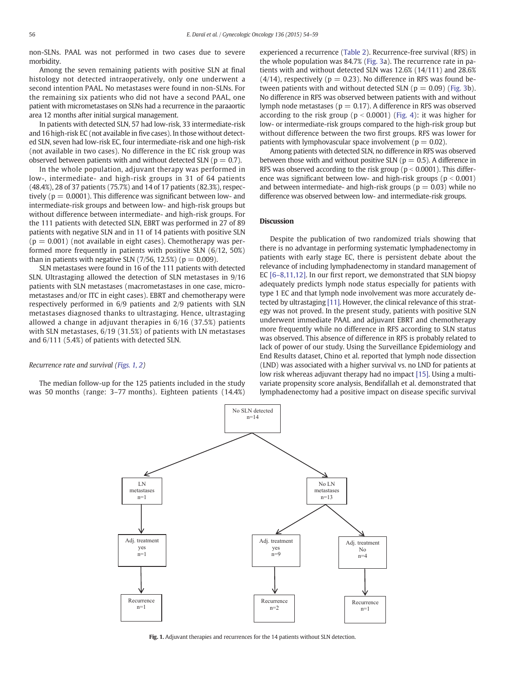non-SLNs. PAAL was not performed in two cases due to severe morbidity.

Among the seven remaining patients with positive SLN at final histology not detected intraoperatively, only one underwent a second intention PAAL. No metastases were found in non-SLNs. For the remaining six patients who did not have a second PAAL, one patient with micrometastases on SLNs had a recurrence in the paraaortic area 12 months after initial surgical management.

In patients with detected SLN, 57 had low-risk, 33 intermediate-risk and 16 high-risk EC (not available in five cases). In those without detected SLN, seven had low-risk EC, four intermediate-risk and one high-risk (not available in two cases). No difference in the EC risk group was observed between patients with and without detected SLN ( $p = 0.7$ ).

In the whole population, adjuvant therapy was performed in low-, intermediate- and high-risk groups in 31 of 64 patients (48.4%), 28 of 37 patients (75.7%) and 14 of 17 patients (82.3%), respectively ( $p = 0.0001$ ). This difference was significant between low- and intermediate-risk groups and between low- and high-risk groups but without difference between intermediate- and high-risk groups. For the 111 patients with detected SLN, EBRT was performed in 27 of 89 patients with negative SLN and in 11 of 14 patients with positive SLN  $(p = 0.001)$  (not available in eight cases). Chemotherapy was performed more frequently in patients with positive SLN (6/12, 50%) than in patients with negative SLN  $(7/56, 12.5%)$  ( $p = 0.009$ ).

SLN metastases were found in 16 of the 111 patients with detected SLN. Ultrastaging allowed the detection of SLN metastases in 9/16 patients with SLN metastases (macrometastases in one case, micrometastases and/or ITC in eight cases). EBRT and chemotherapy were respectively performed in 6/9 patients and 2/9 patients with SLN metastases diagnosed thanks to ultrastaging. Hence, ultrastaging allowed a change in adjuvant therapies in 6/16 (37.5%) patients with SLN metastases, 6/19 (31.5%) of patients with LN metastases and 6/111 (5.4%) of patients with detected SLN.

### Recurrence rate and survival (Figs. 1, 2)

The median follow-up for the 125 patients included in the study was 50 months (range: 3–77 months). Eighteen patients (14.4%) experienced a recurrence [\(Table 2](#page-3-0)). Recurrence-free survival (RFS) in the whole population was 84.7% ([Fig. 3](#page-4-0)a). The recurrence rate in patients with and without detected SLN was 12.6% (14/111) and 28.6%  $(4/14)$ , respectively ( $p = 0.23$ ). No difference in RFS was found between patients with and without detected SLN ( $p = 0.09$ ) [\(Fig. 3b](#page-4-0)). No difference in RFS was observed between patients with and without lymph node metastases ( $p = 0.17$ ). A difference in RFS was observed according to the risk group ( $p < 0.0001$ ) [\(Fig. 4\)](#page-4-0): it was higher for low- or intermediate-risk groups compared to the high-risk group but without difference between the two first groups. RFS was lower for patients with lymphovascular space involvement ( $p = 0.02$ ).

Among patients with detected SLN, no difference in RFS was observed between those with and without positive SLN ( $p = 0.5$ ). A difference in RFS was observed according to the risk group ( $p < 0.0001$ ). This difference was significant between low- and high-risk groups ( $p < 0.001$ ) and between intermediate- and high-risk groups ( $p = 0.03$ ) while no difference was observed between low- and intermediate-risk groups.

# Discussion

Despite the publication of two randomized trials showing that there is no advantage in performing systematic lymphadenectomy in patients with early stage EC, there is persistent debate about the relevance of including lymphadenectomy in standard management of EC [6–[8,11,12\]](#page-5-0). In our first report, we demonstrated that SLN biopsy adequately predicts lymph node status especially for patients with type 1 EC and that lymph node involvement was more accurately detected by ultrastaging [\[11\]](#page-5-0). However, the clinical relevance of this strategy was not proved. In the present study, patients with positive SLN underwent immediate PAAL and adjuvant EBRT and chemotherapy more frequently while no difference in RFS according to SLN status was observed. This absence of difference in RFS is probably related to lack of power of our study. Using the Surveillance Epidemiology and End Results dataset, Chino et al. reported that lymph node dissection (LND) was associated with a higher survival vs. no LND for patients at low risk whereas adjuvant therapy had no impact [\[15\].](#page-5-0) Using a multivariate propensity score analysis, Bendifallah et al. demonstrated that lymphadenectomy had a positive impact on disease specific survival



Fig. 1. Adjuvant therapies and recurrences for the 14 patients without SLN detection.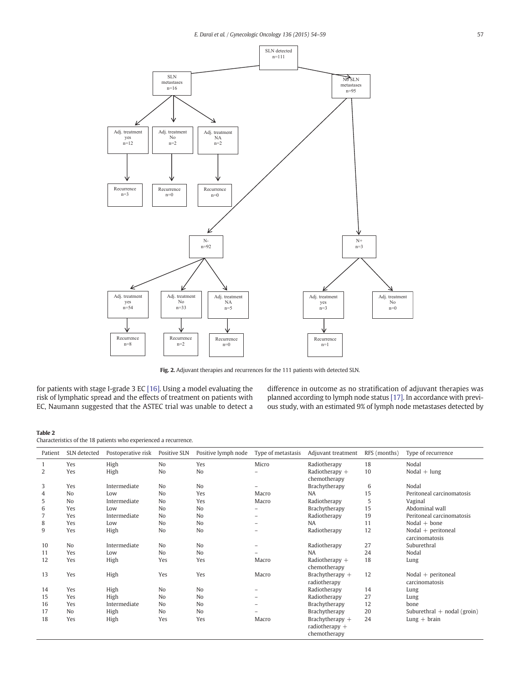<span id="page-3-0"></span>

Fig. 2. Adjuvant therapies and recurrences for the 111 patients with detected SLN.

for patients with stage I-grade 3 EC [\[16\]](#page-5-0). Using a model evaluating the risk of lymphatic spread and the effects of treatment on patients with EC, Naumann suggested that the ASTEC trial was unable to detect a

difference in outcome as no stratification of adjuvant therapies was planned according to lymph node status [\[17\].](#page-5-0) In accordance with previous study, with an estimated 9% of lymph node metastases detected by

# Table 2

Characteristics of the 18 patients who experienced a recurrence.

| Patient | SLN detected   | Postoperative risk | Positive SLN   | Positive lymph node | Type of metastasis | Adjuvant treatment | RFS (months) | Type of recurrence            |
|---------|----------------|--------------------|----------------|---------------------|--------------------|--------------------|--------------|-------------------------------|
|         | Yes            | High               | N <sub>o</sub> | Yes                 | Micro              | Radiotherapy       | 18           | Nodal                         |
| 2       | Yes            | High               | N <sub>o</sub> | No                  |                    | Radiotherapy $+$   | 10           | $Nodal + lung$                |
|         |                |                    |                |                     |                    | chemotherapy       |              |                               |
| 3       | Yes            | Intermediate       | N <sub>o</sub> | N <sub>o</sub>      |                    | Brachytherapy      | 6            | Nodal                         |
| 4       | N <sub>o</sub> | Low                | N <sub>o</sub> | Yes                 | Macro              | <b>NA</b>          | 15           | Peritoneal carcinomatosis     |
| 5       | N <sub>o</sub> | Intermediate       | N <sub>o</sub> | Yes                 | Macro              | Radiotherapy       | 5            | Vaginal                       |
| 6       | Yes            | Low                | N <sub>o</sub> | No                  |                    | Brachytherapy      | 15           | Abdominal wall                |
|         | Yes            | Intermediate       | N <sub>o</sub> | No                  | $\qquad \qquad -$  | Radiotherapy       | 19           | Peritoneal carcinomatosis     |
| 8       | Yes            | Low                | N <sub>o</sub> | No                  |                    | <b>NA</b>          | 11           | Nodal $+$ bone                |
| 9       | Yes            | High               | No             | No                  |                    | Radiotherapy       | 12           | $Nodal + peritoneal$          |
|         |                |                    |                |                     |                    |                    |              | carcinomatosis                |
| 10      | N <sub>o</sub> | Intermediate       | N <sub>o</sub> | N <sub>o</sub>      |                    | Radiotherapy       | 27           | Suburethral                   |
| 11      | Yes            | Low                | N <sub>o</sub> | No                  |                    | <b>NA</b>          | 24           | Nodal                         |
| 12      | Yes            | High               | Yes            | Yes                 | Macro              | Radiotherapy $+$   | 18           | Lung                          |
|         |                |                    |                |                     |                    | chemotherapy       |              |                               |
| 13      | Yes            | High               | Yes            | Yes                 | Macro              | Brachytherapy $+$  | 12           | $Nodal + peritoneal$          |
|         |                |                    |                |                     |                    | radiotherapy       |              | carcinomatosis                |
| 14      | Yes            | High               | N <sub>o</sub> | No                  |                    | Radiotherapy       | 14           | Lung                          |
| 15      | Yes            | High               | N <sub>o</sub> | N <sub>o</sub>      |                    | Radiotherapy       | 27           | Lung                          |
| 16      | Yes            | Intermediate       | N <sub>o</sub> | No                  |                    | Brachytherapy      | 12           | bone                          |
| 17      | N <sub>o</sub> | High               | N <sub>o</sub> | N <sub>o</sub>      |                    | Brachytherapy      | 20           | Suburethral $+$ nodal (groin) |
| 18      | Yes            | High               | Yes            | Yes                 | Macro              | Brachytherapy $+$  | 24           | $Lung + brain$                |
|         |                |                    |                |                     |                    | radiotherapy $+$   |              |                               |
|         |                |                    |                |                     |                    | chemotherapy       |              |                               |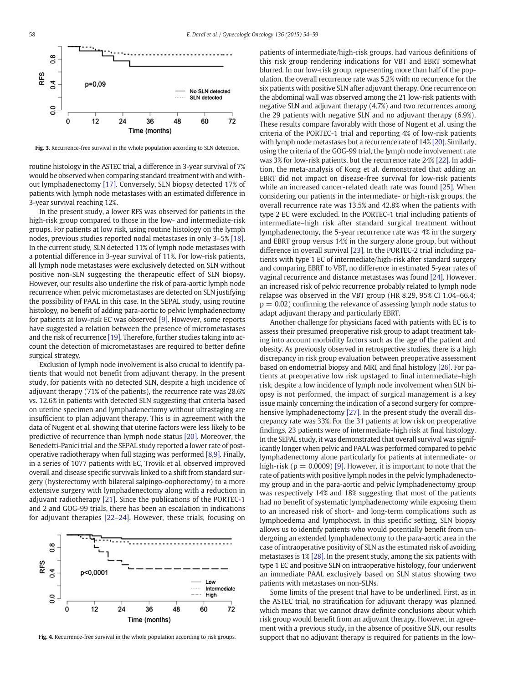<span id="page-4-0"></span>

Fig. 3. Recurrence-free survival in the whole population according to SLN detection.

routine histology in the ASTEC trial, a difference in 3-year survival of 7% would be observed when comparing standard treatment with and without lymphadenectomy [\[17\].](#page-5-0) Conversely, SLN biopsy detected 17% of patients with lymph node metastases with an estimated difference in 3-year survival reaching 12%.

In the present study, a lower RFS was observed for patients in the high-risk group compared to those in the low- and intermediate-risk groups. For patients at low risk, using routine histology on the lymph nodes, previous studies reported nodal metastases in only 3–5% [\[18\].](#page-5-0) In the current study, SLN detected 11% of lymph node metastases with a potential difference in 3-year survival of 11%. For low-risk patients, all lymph node metastases were exclusively detected on SLN without positive non-SLN suggesting the therapeutic effect of SLN biopsy. However, our results also underline the risk of para-aortic lymph node recurrence when pelvic micrometastases are detected on SLN justifying the possibility of PAAL in this case. In the SEPAL study, using routine histology, no benefit of adding para-aortic to pelvic lymphadenectomy for patients at low-risk EC was observed [\[9\].](#page-5-0) However, some reports have suggested a relation between the presence of micrometastases and the risk of recurrence [\[19\].](#page-5-0) Therefore, further studies taking into account the detection of micrometastases are required to better define surgical strategy.

Exclusion of lymph node involvement is also crucial to identify patients that would not benefit from adjuvant therapy. In the present study, for patients with no detected SLN, despite a high incidence of adjuvant therapy (71% of the patients), the recurrence rate was 28.6% vs. 12.6% in patients with detected SLN suggesting that criteria based on uterine specimen and lymphadenectomy without ultrastaging are insufficient to plan adjuvant therapy. This is in agreement with the data of Nugent et al. showing that uterine factors were less likely to be predictive of recurrence than lymph node status [\[20\].](#page-5-0) Moreover, the Benedetti-Panici trial and the SEPAL study reported a lower rate of postoperative radiotherapy when full staging was performed [\[8,9\]](#page-5-0). Finally, in a series of 1077 patients with EC, Trovik et al. observed improved overall and disease specific survivals linked to a shift from standard surgery (hysterectomy with bilateral salpingo-oophorectomy) to a more extensive surgery with lymphadenectomy along with a reduction in adjuvant radiotherapy [\[21\]](#page-5-0). Since the publications of the PORTEC-1 and 2 and GOG-99 trials, there has been an escalation in indications for adjuvant therapies [22–[24\]](#page-5-0). However, these trials, focusing on



Fig. 4. Recurrence-free survival in the whole population according to risk groups.

patients of intermediate/high-risk groups, had various definitions of this risk group rendering indications for VBT and EBRT somewhat blurred. In our low-risk group, representing more than half of the population, the overall recurrence rate was 5.2% with no recurrence for the six patients with positive SLN after adjuvant therapy. One recurrence on the abdominal wall was observed among the 21 low-risk patients with negative SLN and adjuvant therapy (4.7%) and two recurrences among the 29 patients with negative SLN and no adjuvant therapy (6.9%). These results compare favorably with those of Nugent et al. using the criteria of the PORTEC-1 trial and reporting 4% of low-risk patients with lymph node metastases but a recurrence rate of 14% [\[20\]](#page-5-0). Similarly, using the criteria of the GOG-99 trial, the lymph node involvement rate was 3% for low-risk patients, but the recurrence rate 24% [\[22\].](#page-5-0) In addition, the meta-analysis of Kong et al. demonstrated that adding an EBRT did not impact on disease-free survival for low-risk patients while an increased cancer-related death rate was found [\[25\]](#page-5-0). When considering our patients in the intermediate- or high-risk groups, the overall recurrence rate was 13.5% and 42.8% when the patients with type 2 EC were excluded. In the PORTEC-1 trial including patients of intermediate–high risk after standard surgical treatment without lymphadenectomy, the 5-year recurrence rate was 4% in the surgery and EBRT group versus 14% in the surgery alone group, but without difference in overall survival [\[23\].](#page-5-0) In the PORTEC-2 trial including patients with type 1 EC of intermediate/high-risk after standard surgery and comparing EBRT to VBT, no difference in estimated 5-year rates of vaginal recurrence and distance metastases was found [\[24\]](#page-5-0). However, an increased risk of pelvic recurrence probably related to lymph node relapse was observed in the VBT group (HR 8.29, 95% CI 1.04–66.4;  $p = 0.02$ ) confirming the relevance of assessing lymph node status to adapt adjuvant therapy and particularly EBRT.

Another challenge for physicians faced with patients with EC is to assess their presumed preoperative risk group to adapt treatment taking into account morbidity factors such as the age of the patient and obesity. As previously observed in retrospective studies, there is a high discrepancy in risk group evaluation between preoperative assessment based on endometrial biopsy and MRI, and final histology [\[26\]](#page-5-0). For patients at preoperative low risk upstaged to final intermediate–high risk, despite a low incidence of lymph node involvement when SLN biopsy is not performed, the impact of surgical management is a key issue mainly concerning the indication of a second surgery for comprehensive lymphadenectomy [\[27\]](#page-5-0). In the present study the overall discrepancy rate was 33%. For the 31 patients at low risk on preoperative findings, 23 patients were of intermediate-high risk at final histology. In the SEPAL study, it was demonstrated that overall survival was significantly longer when pelvic and PAAL was performed compared to pelvic lymphadenectomy alone particularly for patients at intermediate- or high-risk ( $p = 0.0009$ ) [\[9\]](#page-5-0). However, it is important to note that the rate of patients with positive lymph nodes in the pelvic lymphadenectomy group and in the para-aortic and pelvic lymphadenectomy group was respectively 14% and 18% suggesting that most of the patients had no benefit of systematic lymphadenectomy while exposing them to an increased risk of short- and long-term complications such as lymphoedema and lymphocyst. In this specific setting, SLN biopsy allows us to identify patients who would potentially benefit from undergoing an extended lymphadenectomy to the para-aortic area in the case of intraoperative positivity of SLN as the estimated risk of avoiding metastases is 1% [\[28\].](#page-5-0) In the present study, among the six patients with type 1 EC and positive SLN on intraoperative histology, four underwent an immediate PAAL exclusively based on SLN status showing two patients with metastases on non-SLNs.

Some limits of the present trial have to be underlined. First, as in the ASTEC trial, no stratification for adjuvant therapy was planned which means that we cannot draw definite conclusions about which risk group would benefit from an adjuvant therapy. However, in agreement with a previous study, in the absence of positive SLN, our results support that no adjuvant therapy is required for patients in the low